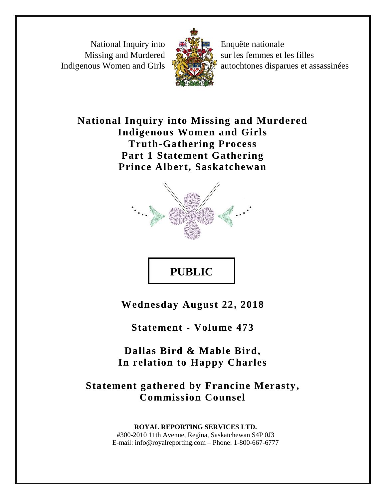National Inquiry into Missing and Murdered Indigenous Women and Girls



Enquête nationale sur les femmes et les filles autochtones disparues et assassinées

## **National Inquiry into Missing and Murdered Indigenous Women and Girls Truth-Gathering Process Part 1 Statement Gathering Prince Albert, Saskatchewan**



## **PUBLIC**

**Wednesday August 22, 2018**

**Statement - Volume 473**

**Dallas Bird & Mable Bird, In relation to Happy Charles**

**Statement gathered by Francine Merasty, Commission Counsel** 

> **ROYAL REPORTING SERVICES LTD.** #300-2010 11th Avenue, Regina, Saskatchewan S4P 0J3 E-mail: info@royalreporting.com – Phone: 1-800-667-6777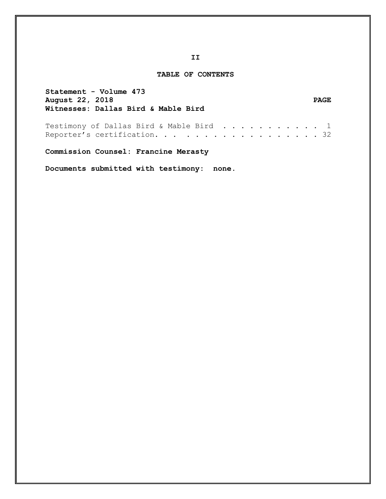## **TABLE OF CONTENTS**

| Statement - Volume 473<br>August 22, 2018<br>Witnesses: Dallas Bird & Mable Bird |  |  |  |  |  | <b>PAGE</b> |
|----------------------------------------------------------------------------------|--|--|--|--|--|-------------|
| Testimony of Dallas Bird & Mable Bird 1<br>Reporter's certification. 32          |  |  |  |  |  |             |

**Commission Counsel: Francine Merasty**

**Documents submitted with testimony: none.**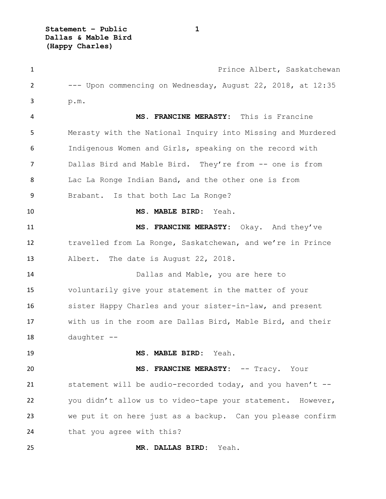**Statement – Public 1 Dallas & Mable Bird (Happy Charles)**

**1** Prince Albert, Saskatchewan --- Upon commencing on Wednesday, August 22, 2018, at 12:35 p.m. **MS. FRANCINE MERASTY:** This is Francine Merasty with the National Inquiry into Missing and Murdered Indigenous Women and Girls, speaking on the record with Dallas Bird and Mable Bird. They're from -- one is from Lac La Ronge Indian Band, and the other one is from Brabant. Is that both Lac La Ronge? **MS. MABLE BIRD:** Yeah. **MS. FRANCINE MERASTY:** Okay. And they've travelled from La Ronge, Saskatchewan, and we're in Prince Albert. The date is August 22, 2018. Dallas and Mable, you are here to voluntarily give your statement in the matter of your sister Happy Charles and your sister-in-law, and present with us in the room are Dallas Bird, Mable Bird, and their daughter -- **MS. MABLE BIRD:** Yeah. **MS. FRANCINE MERASTY:** -- Tracy. Your statement will be audio-recorded today, and you haven't -- you didn't allow us to video-tape your statement. However, we put it on here just as a backup. Can you please confirm 24 that you agree with this? **MR. DALLAS BIRD:** Yeah.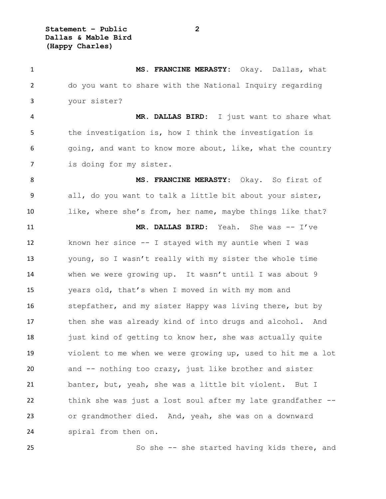**Statement – Public 2 Dallas & Mable Bird (Happy Charles)**

 **MS. FRANCINE MERASTY:** Okay. Dallas, what do you want to share with the National Inquiry regarding your sister? **MR. DALLAS BIRD:** I just want to share what 5 the investigation is, how I think the investigation is 6 going, and want to know more about, like, what the country is doing for my sister. **MS. FRANCINE MERASTY:** Okay. So first of all, do you want to talk a little bit about your sister, like, where she's from, her name, maybe things like that? **MR. DALLAS BIRD:** Yeah. She was -- I've known her since -- I stayed with my auntie when I was young, so I wasn't really with my sister the whole time when we were growing up. It wasn't until I was about 9 years old, that's when I moved in with my mom and stepfather, and my sister Happy was living there, but by then she was already kind of into drugs and alcohol. And 18 just kind of getting to know her, she was actually quite violent to me when we were growing up, used to hit me a lot and -- nothing too crazy, just like brother and sister banter, but, yeah, she was a little bit violent. But I think she was just a lost soul after my late grandfather -- or grandmother died. And, yeah, she was on a downward spiral from then on.

So she -- she started having kids there, and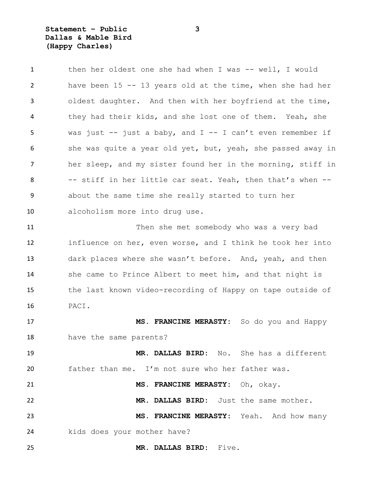**Statement – Public 3 Dallas & Mable Bird (Happy Charles)**

1 then her oldest one she had when I was -- well, I would have been 15 -- 13 years old at the time, when she had her oldest daughter. And then with her boyfriend at the time, they had their kids, and she lost one of them. Yeah, she 5 was just  $-$  just a baby, and  $I -$  I can't even remember if 6 she was quite a year old yet, but, yeah, she passed away in her sleep, and my sister found her in the morning, stiff in -- stiff in her little car seat. Yeah, then that's when -- about the same time she really started to turn her alcoholism more into drug use. Then she met somebody who was a very bad influence on her, even worse, and I think he took her into dark places where she wasn't before. And, yeah, and then she came to Prince Albert to meet him, and that night is the last known video-recording of Happy on tape outside of PACI. **MS. FRANCINE MERASTY:** So do you and Happy have the same parents? **MR. DALLAS BIRD:** No. She has a different father than me. I'm not sure who her father was. **MS. FRANCINE MERASTY:** Oh, okay. **MR. DALLAS BIRD:** Just the same mother. **MS. FRANCINE MERASTY:** Yeah. And how many kids does your mother have?

**MR. DALLAS BIRD:** Five.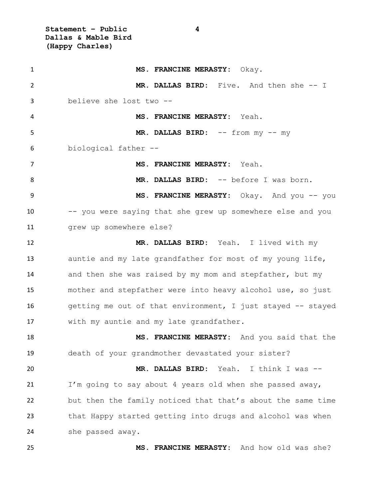**Statement – Public 4 Dallas & Mable Bird (Happy Charles)**

1 MS. FRANCINE MERASTY: Okay. **MR. DALLAS BIRD:** Five. And then she -- I believe she lost two -- **MS. FRANCINE MERASTY:** Yeah. **MR. DALLAS BIRD:** -- from my -- my biological father -- **MS. FRANCINE MERASTY:** Yeah. **MR. DALLAS BIRD:** -- before I was born. **MS. FRANCINE MERASTY:** Okay. And you -- you -- you were saying that she grew up somewhere else and you grew up somewhere else? **MR. DALLAS BIRD:** Yeah. I lived with my auntie and my late grandfather for most of my young life, and then she was raised by my mom and stepfather, but my mother and stepfather were into heavy alcohol use, so just getting me out of that environment, I just stayed -- stayed with my auntie and my late grandfather. **MS. FRANCINE MERASTY:** And you said that the death of your grandmother devastated your sister? **MR. DALLAS BIRD:** Yeah. I think I was -- I'm going to say about 4 years old when she passed away, but then the family noticed that that's about the same time that Happy started getting into drugs and alcohol was when she passed away. **MS. FRANCINE MERASTY:** And how old was she?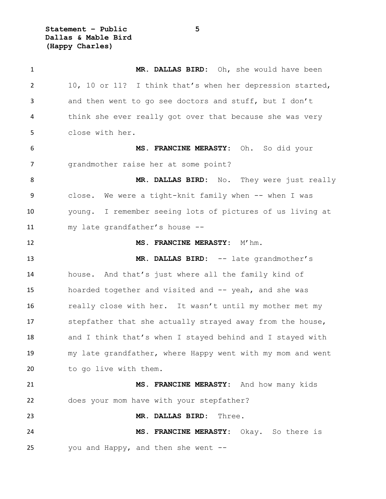**Statement – Public 5 Dallas & Mable Bird (Happy Charles)**

 **MR. DALLAS BIRD:** Oh, she would have been 10, 10 or 11? I think that's when her depression started, and then went to go see doctors and stuff, but I don't think she ever really got over that because she was very close with her. **MS. FRANCINE MERASTY:** Oh. So did your grandmother raise her at some point? 8 MR. DALLAS BIRD: No. They were just really 9 close. We were a tight-knit family when -- when I was young. I remember seeing lots of pictures of us living at my late grandfather's house -- **MS. FRANCINE MERASTY:** M'hm. **MR. DALLAS BIRD:** -- late grandmother's house. And that's just where all the family kind of 15 hoarded together and visited and  $-$ - yeah, and she was really close with her. It wasn't until my mother met my 17 stepfather that she actually strayed away from the house, 18 and I think that's when I stayed behind and I stayed with my late grandfather, where Happy went with my mom and went 20 to go live with them. **MS. FRANCINE MERASTY:** And how many kids does your mom have with your stepfather? **MR. DALLAS BIRD:** Three. **MS. FRANCINE MERASTY:** Okay. So there is you and Happy, and then she went --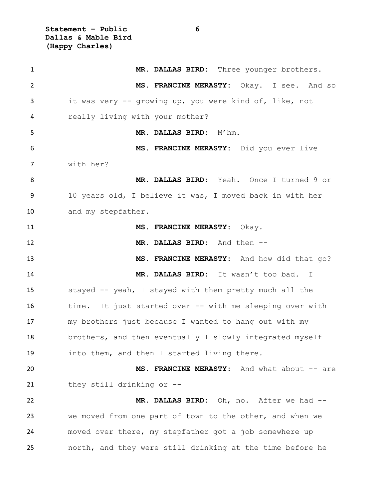**Statement – Public 6 Dallas & Mable Bird (Happy Charles)**

| $\mathbf{1}$   | MR. DALLAS BIRD: Three younger brothers.                  |
|----------------|-----------------------------------------------------------|
| $\overline{2}$ | MS. FRANCINE MERASTY: Okay. I see. And so                 |
| 3              | it was very -- growing up, you were kind of, like, not    |
| 4              | really living with your mother?                           |
| 5              | MR. DALLAS BIRD: M'hm.                                    |
| 6              | MS. FRANCINE MERASTY: Did you ever live                   |
| 7              | with her?                                                 |
| 8              | MR. DALLAS BIRD: Yeah. Once I turned 9 or                 |
| 9              | 10 years old, I believe it was, I moved back in with her  |
| 10             | and my stepfather.                                        |
| 11             | MS. FRANCINE MERASTY: Okay.                               |
| 12             | MR. DALLAS BIRD: And then --                              |
| 13             | MS. FRANCINE MERASTY: And how did that go?                |
| 14             | MR. DALLAS BIRD: It wasn't too bad. I                     |
| 15             | stayed -- yeah, I stayed with them pretty much all the    |
| 16             | time. It just started over -- with me sleeping over with  |
| 17             | my brothers just because I wanted to hang out with my     |
| 18             | brothers, and then eventually I slowly integrated myself  |
| 19             | into them, and then I started living there.               |
| 20             | MS. FRANCINE MERASTY: And what about -- are               |
| 21             | they still drinking or --                                 |
| 22             | MR. DALLAS BIRD: Oh, no. After we had --                  |
| 23             | we moved from one part of town to the other, and when we  |
| 24             | moved over there, my stepfather got a job somewhere up    |
| 25             | north, and they were still drinking at the time before he |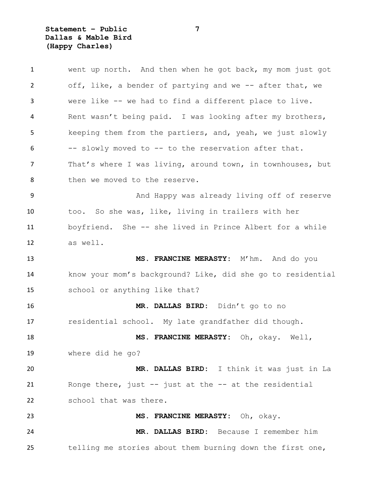**Statement – Public 7 Dallas & Mable Bird (Happy Charles)**

| $\mathbf{1}$ | went up north. And then when he got back, my mom just got   |
|--------------|-------------------------------------------------------------|
| 2            | off, like, a bender of partying and we -- after that, we    |
| 3            | were like -- we had to find a different place to live.      |
| 4            | Rent wasn't being paid. I was looking after my brothers,    |
| 5            | keeping them from the partiers, and, yeah, we just slowly   |
| 6            | -- slowly moved to -- to the reservation after that.        |
| 7            | That's where I was living, around town, in townhouses, but  |
| 8            | then we moved to the reserve.                               |
| 9            | And Happy was already living off of reserve                 |
| 10           | too. So she was, like, living in trailers with her          |
| 11           | boyfriend. She -- she lived in Prince Albert for a while    |
| 12           | as well.                                                    |
| 13           | MS. FRANCINE MERASTY: M'hm. And do you                      |
| 14           | know your mom's background? Like, did she go to residential |
| 15           | school or anything like that?                               |
| 16           | MR. DALLAS BIRD: Didn't go to no                            |
| 17           | residential school. My late grandfather did though.         |
| 18           | MS. FRANCINE MERASTY: Oh, okay. Well,                       |
| 19           | where did he go?                                            |
| 20           | MR. DALLAS BIRD: I think it was just in La                  |
| 21           | Ronge there, just $-$ just at the $-$ at the residential    |
| 22           | school that was there.                                      |
| 23           | MS. FRANCINE MERASTY: Oh, okay.                             |
| 24           | MR. DALLAS BIRD: Because I remember him                     |
| 25           | telling me stories about them burning down the first one,   |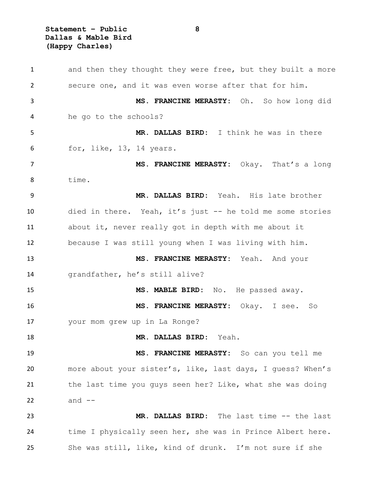**Statement – Public 8 Dallas & Mable Bird (Happy Charles)**

| 1  | and then they thought they were free, but they built a more |
|----|-------------------------------------------------------------|
| 2  | secure one, and it was even worse after that for him.       |
| 3  | MS. FRANCINE MERASTY: Oh. So how long did                   |
| 4  | he go to the schools?                                       |
| 5  | MR. DALLAS BIRD: I think he was in there                    |
| 6  | for, like, 13, 14 years.                                    |
| 7  | MS. FRANCINE MERASTY: Okay. That's a long                   |
| 8  | time.                                                       |
| 9  | MR. DALLAS BIRD: Yeah. His late brother                     |
| 10 | died in there. Yeah, it's just -- he told me some stories   |
| 11 | about it, never really got in depth with me about it        |
| 12 | because I was still young when I was living with him.       |
| 13 | MS. FRANCINE MERASTY: Yeah. And your                        |
| 14 | grandfather, he's still alive?                              |
| 15 | MS. MABLE BIRD: No. He passed away.                         |
| 16 | MS. FRANCINE MERASTY: Okay. I see. So                       |
| 17 | your mom grew up in La Ronge?                               |
| 18 | MR. DALLAS BIRD: Yeah.                                      |
| 19 | MS. FRANCINE MERASTY: So can you tell me                    |
| 20 | more about your sister's, like, last days, I quess? When's  |
| 21 | the last time you guys seen her? Like, what she was doing   |
| 22 | and $--$                                                    |
| 23 | MR. DALLAS BIRD: The last time -- the last                  |
| 24 | time I physically seen her, she was in Prince Albert here.  |
| 25 | She was still, like, kind of drunk. I'm not sure if she     |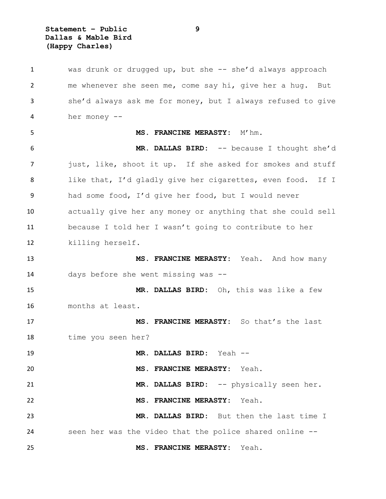**Statement – Public 9 Dallas & Mable Bird (Happy Charles)**

 was drunk or drugged up, but she -- she'd always approach me whenever she seen me, come say hi, give her a hug. But she'd always ask me for money, but I always refused to give her money -- **MS. FRANCINE MERASTY:** M'hm. **MR. DALLAS BIRD:** -- because I thought she'd 7 just, like, shoot it up. If she asked for smokes and stuff like that, I'd gladly give her cigarettes, even food. If I had some food, I'd give her food, but I would never actually give her any money or anything that she could sell because I told her I wasn't going to contribute to her killing herself. **MS. FRANCINE MERASTY:** Yeah. And how many days before she went missing was -- **MR. DALLAS BIRD:** Oh, this was like a few months at least. **MS. FRANCINE MERASTY:** So that's the last time you seen her? **MR. DALLAS BIRD:** Yeah -- **MS. FRANCINE MERASTY:** Yeah. **MR. DALLAS BIRD:** -- physically seen her. **MS. FRANCINE MERASTY:** Yeah. **MR. DALLAS BIRD:** But then the last time I seen her was the video that the police shared online -- **MS. FRANCINE MERASTY:** Yeah.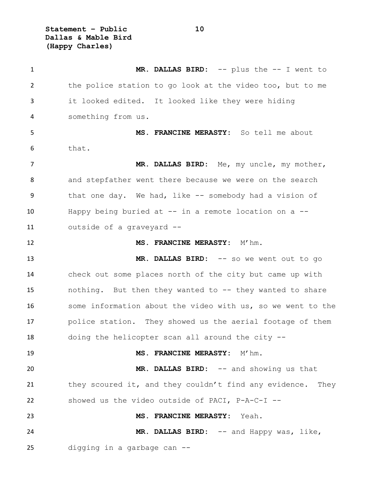**Statement – Public 10 Dallas & Mable Bird (Happy Charles)**

 **MR. DALLAS BIRD:** -- plus the -- I went to the police station to go look at the video too, but to me it looked edited. It looked like they were hiding something from us. **MS. FRANCINE MERASTY:** So tell me about that. **MR. DALLAS BIRD:** Me, my uncle, my mother, and stepfather went there because we were on the search that one day. We had, like -- somebody had a vision of Happy being buried at -- in a remote location on a -- outside of a graveyard -- **MS. FRANCINE MERASTY:** M'hm. **MR. DALLAS BIRD:** -- so we went out to go check out some places north of the city but came up with nothing. But then they wanted to -- they wanted to share some information about the video with us, so we went to the police station. They showed us the aerial footage of them doing the helicopter scan all around the city -- **MS. FRANCINE MERASTY:** M'hm. **MR. DALLAS BIRD:** -- and showing us that 21 they scoured it, and they couldn't find any evidence. They showed us the video outside of PACI, P-A-C-I -- **MS. FRANCINE MERASTY:** Yeah. **MR. DALLAS BIRD:** -- and Happy was, like, digging in a garbage can --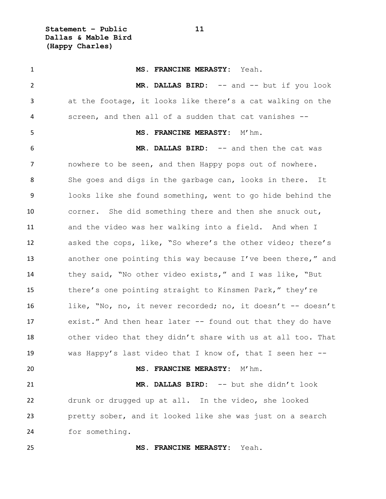**Statement – Public 11 Dallas & Mable Bird (Happy Charles)**

 **MS. FRANCINE MERASTY:** Yeah. **MR. DALLAS BIRD:** -- and -- but if you look at the footage, it looks like there's a cat walking on the screen, and then all of a sudden that cat vanishes -- **MS. FRANCINE MERASTY:** M'hm. **MR. DALLAS BIRD:** -- and then the cat was nowhere to be seen, and then Happy pops out of nowhere. She goes and digs in the garbage can, looks in there. It looks like she found something, went to go hide behind the corner. She did something there and then she snuck out, and the video was her walking into a field. And when I asked the cops, like, "So where's the other video; there's another one pointing this way because I've been there," and they said, "No other video exists," and I was like, "But there's one pointing straight to Kinsmen Park," they're like, "No, no, it never recorded; no, it doesn't -- doesn't exist." And then hear later -- found out that they do have other video that they didn't share with us at all too. That was Happy's last video that I know of, that I seen her -- **MS. FRANCINE MERASTY:** M'hm. **MR. DALLAS BIRD:** -- but she didn't look drunk or drugged up at all. In the video, she looked pretty sober, and it looked like she was just on a search for something. **MS. FRANCINE MERASTY:** Yeah.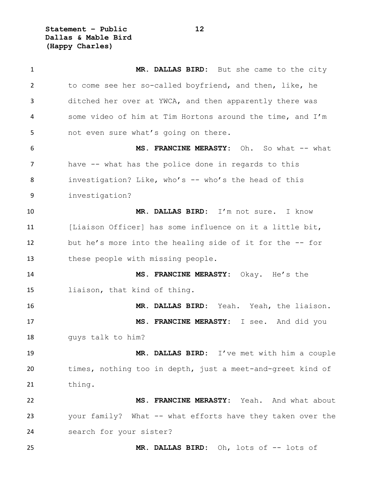**Statement – Public 12 Dallas & Mable Bird (Happy Charles)**

 **MR. DALLAS BIRD:** But she came to the city to come see her so-called boyfriend, and then, like, he ditched her over at YWCA, and then apparently there was some video of him at Tim Hortons around the time, and I'm not even sure what's going on there. **MS. FRANCINE MERASTY:** Oh. So what -- what have -- what has the police done in regards to this 8 investigation? Like, who's -- who's the head of this investigation? **MR. DALLAS BIRD:** I'm not sure. I know [Liaison Officer] has some influence on it a little bit, but he's more into the healing side of it for the -- for these people with missing people. **MS. FRANCINE MERASTY:** Okay. He's the liaison, that kind of thing. **MR. DALLAS BIRD:** Yeah. Yeah, the liaison. **MS. FRANCINE MERASTY:** I see. And did you guys talk to him? **MR. DALLAS BIRD:** I've met with him a couple times, nothing too in depth, just a meet-and-greet kind of thing. **MS. FRANCINE MERASTY:** Yeah. And what about your family? What -- what efforts have they taken over the search for your sister? **MR. DALLAS BIRD:** Oh, lots of -- lots of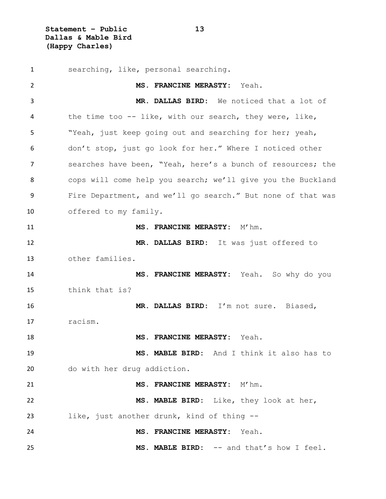**Statement – Public 13 Dallas & Mable Bird (Happy Charles)**

 searching, like, personal searching. **MS. FRANCINE MERASTY:** Yeah. **MR. DALLAS BIRD:** We noticed that a lot of the time too -- like, with our search, they were, like, "Yeah, just keep going out and searching for her; yeah, don't stop, just go look for her." Where I noticed other searches have been, "Yeah, here's a bunch of resources; the cops will come help you search; we'll give you the Buckland Fire Department, and we'll go search." But none of that was offered to my family. **MS. FRANCINE MERASTY:** M'hm. **MR. DALLAS BIRD:** It was just offered to other families. **MS. FRANCINE MERASTY:** Yeah. So why do you think that is? **MR. DALLAS BIRD:** I'm not sure. Biased, racism. **MS. FRANCINE MERASTY:** Yeah. **MS. MABLE BIRD:** And I think it also has to do with her drug addiction. **MS. FRANCINE MERASTY:** M'hm. **MS. MABLE BIRD:** Like, they look at her, like, just another drunk, kind of thing -- **MS. FRANCINE MERASTY:** Yeah. **MS. MABLE BIRD:** -- and that's how I feel.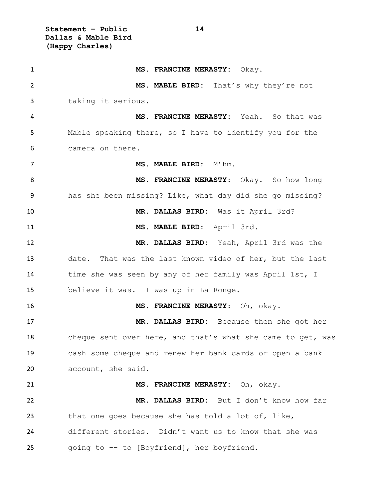**Statement – Public 14 Dallas & Mable Bird (Happy Charles)**

 **MS. FRANCINE MERASTY:** Okay. **MS. MABLE BIRD:** That's why they're not taking it serious. **MS. FRANCINE MERASTY:** Yeah. So that was Mable speaking there, so I have to identify you for the camera on there. 7 MS. MABLE BIRD: M'hm. **MS. FRANCINE MERASTY:** Okay. So how long has she been missing? Like, what day did she go missing? **MR. DALLAS BIRD:** Was it April 3rd? **MS. MABLE BIRD:** April 3rd. **MR. DALLAS BIRD:** Yeah, April 3rd was the date. That was the last known video of her, but the last time she was seen by any of her family was April 1st, I believe it was. I was up in La Ronge. **MS. FRANCINE MERASTY:** Oh, okay. **MR. DALLAS BIRD:** Because then she got her 18 cheque sent over here, and that's what she came to get, was cash some cheque and renew her bank cards or open a bank account, she said. **MS. FRANCINE MERASTY:** Oh, okay. **MR. DALLAS BIRD:** But I don't know how far that one goes because she has told a lot of, like, different stories. Didn't want us to know that she was going to -- to [Boyfriend], her boyfriend.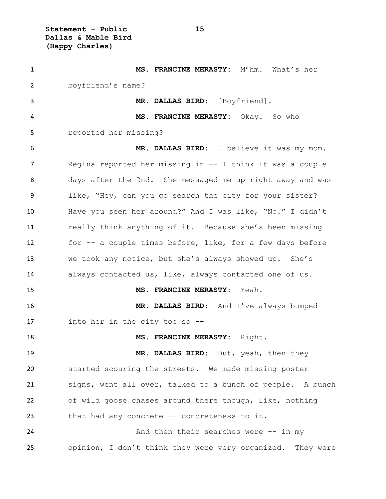**Statement – Public 15 Dallas & Mable Bird (Happy Charles)**

| $\mathbf{1}$ | MS. FRANCINE MERASTY: M'hm. What's her                     |
|--------------|------------------------------------------------------------|
| 2            | boyfriend's name?                                          |
| 3            | MR. DALLAS BIRD: [Boyfriend].                              |
| 4            | MS. FRANCINE MERASTY: Okay. So who                         |
| 5            | reported her missing?                                      |
| 6            | MR. DALLAS BIRD: I believe it was my mom.                  |
| 7            | Regina reported her missing in -- I think it was a couple  |
| 8            | days after the 2nd. She messaged me up right away and was  |
| 9            | like, "Hey, can you go search the city for your sister?    |
| 10           | Have you seen her around?" And I was like, "No." I didn't  |
| 11           | really think anything of it. Because she's been missing    |
| 12           | for -- a couple times before, like, for a few days before  |
| 13           | we took any notice, but she's always showed up. She's      |
| 14           | always contacted us, like, always contacted one of us.     |
| 15           | MS. FRANCINE MERASTY: Yeah.                                |
| 16           | MR. DALLAS BIRD: And I've always bumped                    |
| 17           | into her in the city too so $-$ -                          |
| 18           | MS. FRANCINE MERASTY: Right.                               |
| 19           | MR. DALLAS BIRD: But, yeah, then they                      |
| 20           | started scouring the streets. We made missing poster       |
| 21           | signs, went all over, talked to a bunch of people. A bunch |
| 22           | of wild goose chases around there though, like, nothing    |
| 23           | that had any concrete -- concreteness to it.               |
| 24           | And then their searches were -- in my                      |
| 25           | opinion, I don't think they were very organized. They were |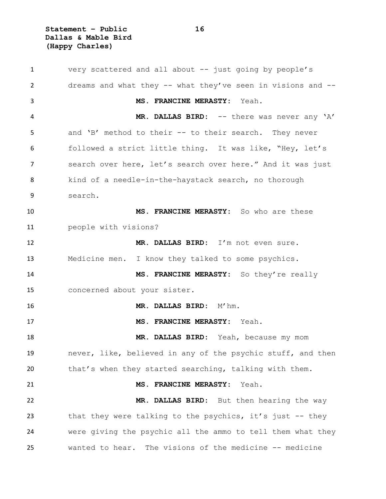**Statement – Public 16 Dallas & Mable Bird (Happy Charles)**

 very scattered and all about -- just going by people's dreams and what they -- what they've seen in visions and -- **MS. FRANCINE MERASTY:** Yeah. **MR. DALLAS BIRD:** -- there was never any 'A' and 'B' method to their -- to their search. They never followed a strict little thing. It was like, "Hey, let's search over here, let's search over here." And it was just kind of a needle-in-the-haystack search, no thorough search. **MS. FRANCINE MERASTY:** So who are these people with visions? **MR. DALLAS BIRD:** I'm not even sure. Medicine men. I know they talked to some psychics. **MS. FRANCINE MERASTY:** So they're really concerned about your sister. **MR. DALLAS BIRD:** M'hm. **MS. FRANCINE MERASTY:** Yeah. **MR. DALLAS BIRD:** Yeah, because my mom never, like, believed in any of the psychic stuff, and then that's when they started searching, talking with them. **MS. FRANCINE MERASTY:** Yeah. **MR. DALLAS BIRD:** But then hearing the way 23 that they were talking to the psychics, it's just -- they were giving the psychic all the ammo to tell them what they wanted to hear. The visions of the medicine -- medicine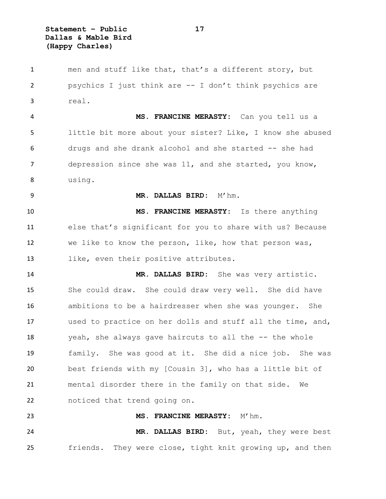**Statement – Public 17 Dallas & Mable Bird (Happy Charles)**

 men and stuff like that, that's a different story, but psychics I just think are -- I don't think psychics are real. **MS. FRANCINE MERASTY:** Can you tell us a little bit more about your sister? Like, I know she abused drugs and she drank alcohol and she started -- she had depression since she was 11, and she started, you know, using. **MR. DALLAS BIRD:** M'hm. **MS. FRANCINE MERASTY:** Is there anything else that's significant for you to share with us? Because we like to know the person, like, how that person was, like, even their positive attributes. **MR. DALLAS BIRD:** She was very artistic. She could draw. She could draw very well. She did have ambitions to be a hairdresser when she was younger. She used to practice on her dolls and stuff all the time, and, 18 yeah, she always gave haircuts to all the -- the whole family. She was good at it. She did a nice job. She was best friends with my [Cousin 3], who has a little bit of mental disorder there in the family on that side. We noticed that trend going on. **MS. FRANCINE MERASTY:** M'hm. **MR. DALLAS BIRD:** But, yeah, they were best friends. They were close, tight knit growing up, and then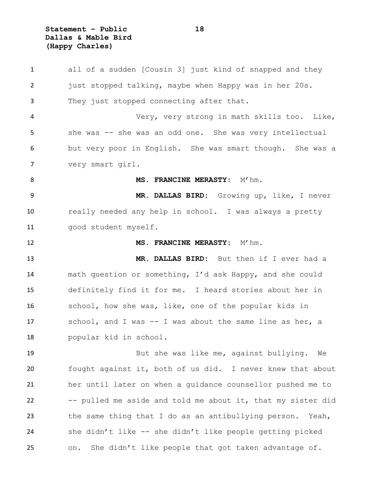**Statement – Public 18 Dallas & Mable Bird (Happy Charles)**

 all of a sudden [Cousin 3] just kind of snapped and they just stopped talking, maybe when Happy was in her 20s. They just stopped connecting after that. Very, very strong in math skills too. Like, she was -- she was an odd one. She was very intellectual but very poor in English. She was smart though. She was a very smart girl. 8 MS. FRANCINE MERASTY: M'hm. **MR. DALLAS BIRD:** Growing up, like, I never really needed any help in school. I was always a pretty good student myself. **MS. FRANCINE MERASTY:**  $M'$ hm. **MR. DALLAS BIRD:** But then if I ever had a math question or something, I'd ask Happy, and she could definitely find it for me. I heard stories about her in school, how she was, like, one of the popular kids in school, and I was -- I was about the same line as her, a popular kid in school. But she was like me, against bullying. We fought against it, both of us did. I never knew that about her until later on when a guidance counsellor pushed me to -- pulled me aside and told me about it, that my sister did the same thing that I do as an antibullying person. Yeah, she didn't like -- she didn't like people getting picked on. She didn't like people that got taken advantage of.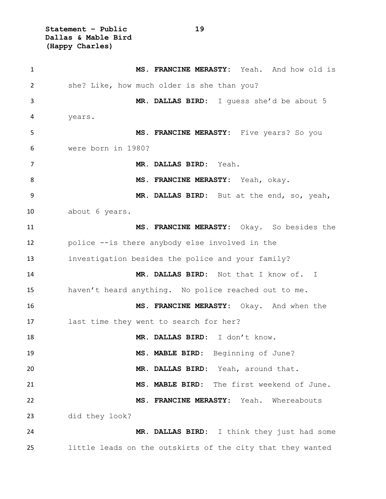**Statement – Public 19 Dallas & Mable Bird (Happy Charles)**

 **MS. FRANCINE MERASTY:** Yeah. And how old is she? Like, how much older is she than you? **MR. DALLAS BIRD:** I guess she'd be about 5 years. **MS. FRANCINE MERASTY:** Five years? So you were born in 1980? **MR. DALLAS BIRD:** Yeah. **MS. FRANCINE MERASTY:** Yeah, okay. **MR. DALLAS BIRD:** But at the end, so, yeah, about 6 years. **MS. FRANCINE MERASTY:** Okay. So besides the police --is there anybody else involved in the investigation besides the police and your family? **MR. DALLAS BIRD:** Not that I know of. I haven't heard anything. No police reached out to me. **MS. FRANCINE MERASTY:** Okay. And when the last time they went to search for her? **MR. DALLAS BIRD:** I don't know. **MS. MABLE BIRD:** Beginning of June? **MR. DALLAS BIRD:** Yeah, around that. **MS. MABLE BIRD:** The first weekend of June. **MS. FRANCINE MERASTY:** Yeah. Whereabouts did they look? **MR. DALLAS BIRD:** I think they just had some little leads on the outskirts of the city that they wanted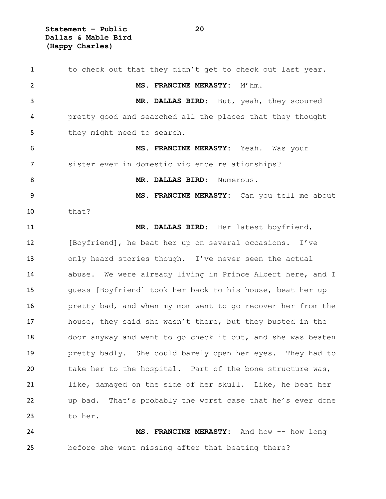**Statement – Public 20 Dallas & Mable Bird (Happy Charles)**

1 to check out that they didn't get to check out last year. **MS. FRANCINE MERASTY:** M'hm. **MR. DALLAS BIRD:** But, yeah, they scoured pretty good and searched all the places that they thought 5 they might need to search. **MS. FRANCINE MERASTY:** Yeah. Was your sister ever in domestic violence relationships? **MR. DALLAS BIRD:** Numerous. **MS. FRANCINE MERASTY:** Can you tell me about that? **MR. DALLAS BIRD:** Her latest boyfriend, [Boyfriend], he beat her up on several occasions. I've only heard stories though. I've never seen the actual abuse. We were already living in Prince Albert here, and I guess [Boyfriend] took her back to his house, beat her up pretty bad, and when my mom went to go recover her from the house, they said she wasn't there, but they busted in the door anyway and went to go check it out, and she was beaten pretty badly. She could barely open her eyes. They had to take her to the hospital. Part of the bone structure was, like, damaged on the side of her skull. Like, he beat her up bad. That's probably the worst case that he's ever done to her. **MS. FRANCINE MERASTY:** And how -- how long before she went missing after that beating there?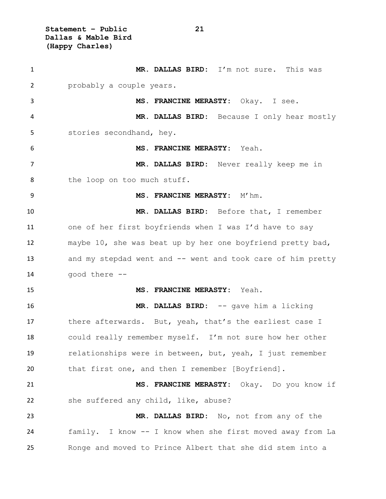**Statement – Public 21 Dallas & Mable Bird (Happy Charles)**

| $\mathbf{1}$   | MR. DALLAS BIRD: I'm not sure. This was                     |
|----------------|-------------------------------------------------------------|
| 2              | probably a couple years.                                    |
| 3              | MS. FRANCINE MERASTY: Okay. I see.                          |
| 4              | MR. DALLAS BIRD: Because I only hear mostly                 |
| 5              | stories secondhand, hey.                                    |
| 6              | MS. FRANCINE MERASTY: Yeah.                                 |
| $\overline{7}$ | MR. DALLAS BIRD: Never really keep me in                    |
| 8              | the loop on too much stuff.                                 |
| 9              | MS. FRANCINE MERASTY: M'hm.                                 |
| 10             | MR. DALLAS BIRD: Before that, I remember                    |
| 11             | one of her first boyfriends when I was I'd have to say      |
| 12             | maybe 10, she was beat up by her one boyfriend pretty bad,  |
| 13             | and my stepdad went and -- went and took care of him pretty |
| 14             | good there --                                               |
| 15             | MS. FRANCINE MERASTY: Yeah.                                 |
| 16             | MR. DALLAS BIRD: -- gave him a licking                      |
| 17             | there afterwards. But, yeah, that's the earliest case I     |
| 18             | could really remember myself. I'm not sure how her other    |
| 19             | relationships were in between, but, yeah, I just remember   |
| 20             | that first one, and then I remember [Boyfriend].            |
| 21             | MS. FRANCINE MERASTY: Okay. Do you know if                  |
| 22             | she suffered any child, like, abuse?                        |
| 23             | MR. DALLAS BIRD: No, not from any of the                    |
| 24             | family. I know -- I know when she first moved away from La  |
| 25             | Ronge and moved to Prince Albert that she did stem into a   |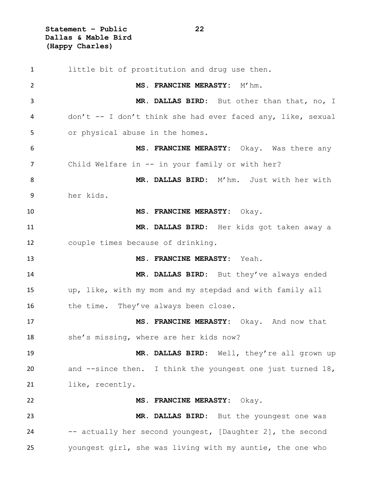**Statement – Public 22 Dallas & Mable Bird (Happy Charles)**

 little bit of prostitution and drug use then. **MS. FRANCINE MERASTY:** M'hm. **MR. DALLAS BIRD:** But other than that, no, I don't -- I don't think she had ever faced any, like, sexual or physical abuse in the homes. **MS. FRANCINE MERASTY:** Okay. Was there any 7 Child Welfare in -- in your family or with her? **MR. DALLAS BIRD:** M'hm. Just with her with her kids. **MS. FRANCINE MERASTY:** Okay. **MR. DALLAS BIRD:** Her kids got taken away a couple times because of drinking. **MS. FRANCINE MERASTY:** Yeah. **MR. DALLAS BIRD:** But they've always ended up, like, with my mom and my stepdad and with family all 16 the time. They've always been close. **MS. FRANCINE MERASTY:** Okay. And now that she's missing, where are her kids now? **MR. DALLAS BIRD:** Well, they're all grown up 20 and --since then. I think the youngest one just turned 18, like, recently. **MS. FRANCINE MERASTY:** Okay. **MR. DALLAS BIRD:** But the youngest one was -- actually her second youngest, [Daughter 2], the second youngest girl, she was living with my auntie, the one who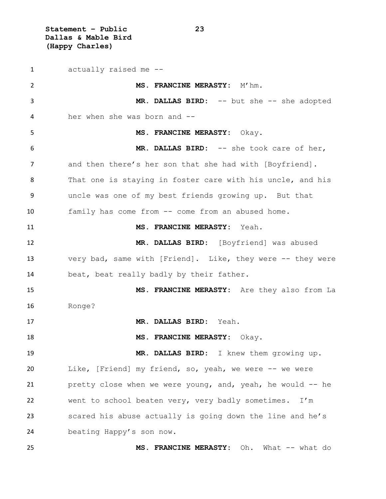**Statement – Public 23 Dallas & Mable Bird (Happy Charles)**

 actually raised me -- **MS. FRANCINE MERASTY:** M'hm. **MR. DALLAS BIRD:** -- but she -- she adopted her when she was born and -- **MS. FRANCINE MERASTY:** Okay. **MR. DALLAS BIRD:** -- she took care of her, 7 and then there's her son that she had with [Boyfriend]. That one is staying in foster care with his uncle, and his uncle was one of my best friends growing up. But that family has come from -- come from an abused home. **MS. FRANCINE MERASTY:** Yeah. **MR. DALLAS BIRD:** [Boyfriend] was abused very bad, same with [Friend]. Like, they were -- they were beat, beat really badly by their father. **MS. FRANCINE MERASTY:** Are they also from La Ronge? **MR. DALLAS BIRD:** Yeah. **MS. FRANCINE MERASTY:** Okay. **MR. DALLAS BIRD:** I knew them growing up. Like, [Friend] my friend, so, yeah, we were -- we were pretty close when we were young, and, yeah, he would -- he went to school beaten very, very badly sometimes. I'm scared his abuse actually is going down the line and he's beating Happy's son now. **MS. FRANCINE MERASTY:** Oh. What -- what do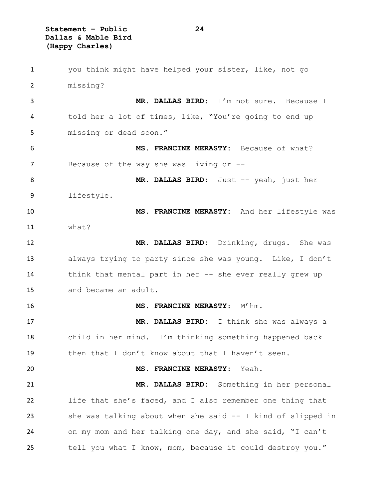**Statement – Public 24 Dallas & Mable Bird (Happy Charles)**

| 1  | you think might have helped your sister, like, not go       |
|----|-------------------------------------------------------------|
| 2  | missing?                                                    |
| 3  | MR. DALLAS BIRD: I'm not sure. Because I                    |
| 4  | told her a lot of times, like, "You're going to end up      |
| 5  | missing or dead soon."                                      |
| 6  | MS. FRANCINE MERASTY: Because of what?                      |
| 7  | Because of the way she was living or $-$ -                  |
| 8  | MR. DALLAS BIRD: Just -- yeah, just her                     |
| 9  | lifestyle.                                                  |
| 10 | MS. FRANCINE MERASTY: And her lifestyle was                 |
| 11 | what?                                                       |
| 12 | MR. DALLAS BIRD: Drinking, drugs. She was                   |
| 13 | always trying to party since she was young. Like, I don't   |
| 14 | think that mental part in her -- she ever really grew up    |
| 15 | and became an adult.                                        |
| 16 | MS. FRANCINE MERASTY: M'hm.                                 |
| 17 | MR. DALLAS BIRD: I think she was always a                   |
| 18 | child in her mind. I'm thinking something happened back     |
| 19 | then that I don't know about that I haven't seen.           |
| 20 | MS. FRANCINE MERASTY:<br>Yeah.                              |
| 21 | MR. DALLAS BIRD: Something in her personal                  |
| 22 | life that she's faced, and I also remember one thing that   |
| 23 | she was talking about when she said -- I kind of slipped in |
| 24 | on my mom and her talking one day, and she said, "I can't   |
| 25 | tell you what I know, mom, because it could destroy you."   |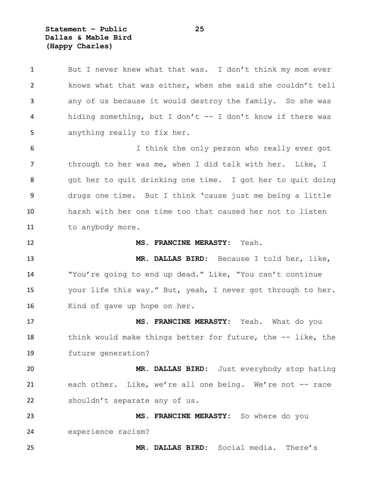**Statement – Public 25 Dallas & Mable Bird (Happy Charles)**

1 But I never knew what that was. I don't think my mom ever knows what that was either, when she said she couldn't tell any of us because it would destroy the family. So she was hiding something, but I don't -- I don't know if there was anything really to fix her. I think the only person who really ever got through to her was me, when I did talk with her. Like, I got her to quit drinking one time. I got her to quit doing drugs one time. But I think 'cause just me being a little harsh with her one time too that caused her not to listen 11 to anybody more. **MS. FRANCINE MERASTY:** Yeah. **MR. DALLAS BIRD:** Because I told her, like, "You're going to end up dead." Like, "You can't continue your life this way." But, yeah, I never got through to her. 16 Kind of gave up hope on her. **MS. FRANCINE MERASTY:** Yeah. What do you 18 think would make things better for future, the -- like, the future generation? **MR. DALLAS BIRD:** Just everybody stop hating each other. Like, we're all one being. We're not -- race shouldn't separate any of us. **MS. FRANCINE MERASTY:** So where do you experience racism? **MR. DALLAS BIRD:** Social media. There's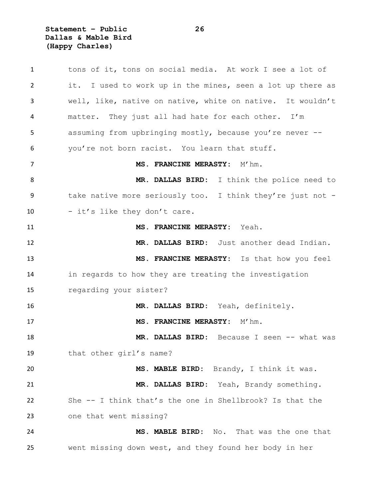**Statement – Public 26 Dallas & Mable Bird (Happy Charles)**

| $\mathbf{1}$ | tons of it, tons on social media. At work I see a lot of   |
|--------------|------------------------------------------------------------|
| 2            | it. I used to work up in the mines, seen a lot up there as |
| 3            | well, like, native on native, white on native. It wouldn't |
| 4            | matter. They just all had hate for each other. I'm         |
| 5            | assuming from upbringing mostly, because you're never --   |
| 6            | you're not born racist. You learn that stuff.              |
| 7            | MS. FRANCINE MERASTY: M'hm.                                |
| 8            | MR. DALLAS BIRD: I think the police need to                |
| 9            | take native more seriously too. I think they're just not - |
| 10           | - it's like they don't care.                               |
| 11           | MS. FRANCINE MERASTY: Yeah.                                |
| 12           | MR. DALLAS BIRD: Just another dead Indian.                 |
| 13           | MS. FRANCINE MERASTY: Is that how you feel                 |
| 14           | in regards to how they are treating the investigation      |
| 15           | regarding your sister?                                     |
| 16           | MR. DALLAS BIRD: Yeah, definitely.                         |
| 17           | MS. FRANCINE MERASTY: M'hm.                                |
| 18           | MR. DALLAS BIRD: Because I seen -- what was                |
| 19           | that other girl's name?                                    |
| 20           | MS. MABLE BIRD: Brandy, I think it was.                    |
| 21           | MR. DALLAS BIRD: Yeah, Brandy something.                   |
| 22           | She -- I think that's the one in Shellbrook? Is that the   |
| 23           | one that went missing?                                     |
| 24           | MS. MABLE BIRD: No. That was the one that                  |
| 25           | went missing down west, and they found her body in her     |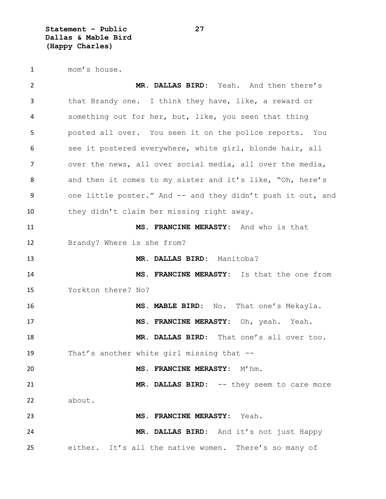**Statement – Public 27 Dallas & Mable Bird (Happy Charles)**

mom's house.

 **MR. DALLAS BIRD:** Yeah. And then there's that Brandy one. I think they have, like, a reward or something out for her, but, like, you seen that thing posted all over. You seen it on the police reports. You 6 see it postered everywhere, white girl, blonde hair, all over the news, all over social media, all over the media, and then it comes to my sister and it's like, "Oh, here's 9 one little poster." And -- and they didn't push it out, and they didn't claim her missing right away. **MS. FRANCINE MERASTY:** And who is that Brandy? Where is she from? **MR. DALLAS BIRD:** Manitoba? **MS. FRANCINE MERASTY:** Is that the one from Yorkton there? No? **MS. MABLE BIRD:** No. That one's Mekayla. **MS. FRANCINE MERASTY:** Oh, yeah. Yeah. **MR. DALLAS BIRD:** That one's all over too. That's another white girl missing that -- **MS. FRANCINE MERASTY:** M'hm. 21 MR. DALLAS BIRD: -- they seem to care more about. **MS. FRANCINE MERASTY:** Yeah. **MR. DALLAS BIRD:** And it's not just Happy either. It's all the native women. There's so many of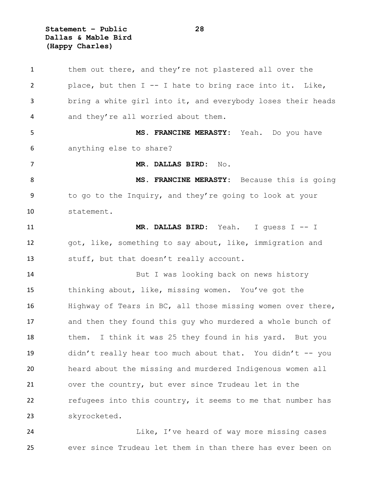**Statement – Public 28 Dallas & Mable Bird (Happy Charles)**

1 them out there, and they're not plastered all over the place, but then I -- I hate to bring race into it. Like, bring a white girl into it, and everybody loses their heads and they're all worried about them. **MS. FRANCINE MERASTY:** Yeah. Do you have anything else to share? **MR. DALLAS BIRD:** No. **MS. FRANCINE MERASTY:** Because this is going 9 to go to the Inquiry, and they're going to look at your statement. **MR. DALLAS BIRD:** Yeah. I guess I -- I got, like, something to say about, like, immigration and stuff, but that doesn't really account. But I was looking back on news history thinking about, like, missing women. You've got the Highway of Tears in BC, all those missing women over there, and then they found this guy who murdered a whole bunch of them. I think it was 25 they found in his yard. But you didn't really hear too much about that. You didn't -- you heard about the missing and murdered Indigenous women all over the country, but ever since Trudeau let in the refugees into this country, it seems to me that number has skyrocketed.

**Like, I've heard of way more missing cases** ever since Trudeau let them in than there has ever been on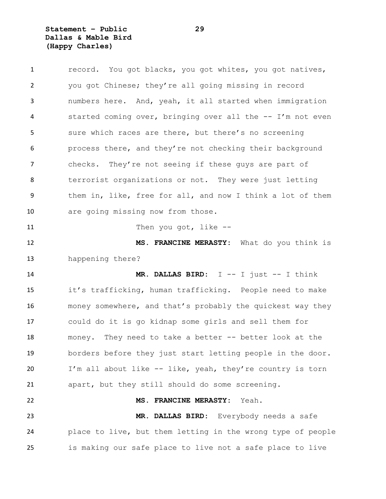**Statement – Public 29 Dallas & Mable Bird (Happy Charles)**

| $\mathbf{1}$ | record. You got blacks, you got whites, you got natives,   |
|--------------|------------------------------------------------------------|
| 2            | you got Chinese; they're all going missing in record       |
| 3            | numbers here. And, yeah, it all started when immigration   |
| 4            | started coming over, bringing over all the -- I'm not even |
| 5            | sure which races are there, but there's no screening       |
| 6            | process there, and they're not checking their background   |
| 7            | checks. They're not seeing if these guys are part of       |
| 8            | terrorist organizations or not. They were just letting     |
| 9            | them in, like, free for all, and now I think a lot of them |
| 10           | are going missing now from those.                          |
| 11           | Then you got, like $-$ -                                   |
| 12           | MS. FRANCINE MERASTY: What do you think is                 |
|              |                                                            |
| 13           | happening there?                                           |
| 14           | <b>MR. DALLAS BIRD:</b> $I$ -- I just -- I think           |
| 15           | it's trafficking, human trafficking. People need to make   |
| 16           | money somewhere, and that's probably the quickest way they |
| 17           | could do it is go kidnap some girls and sell them for      |
| 18           | money. They need to take a better -- better look at the    |
| 19           | borders before they just start letting people in the door. |
| 20           | I'm all about like -- like, yeah, they're country is torn  |
| 21           | apart, but they still should do some screening.            |
| 22           | MS. FRANCINE MERASTY:<br>Yeah.                             |
| 23           | MR. DALLAS BIRD: Everybody needs a safe                    |

is making our safe place to live not a safe place to live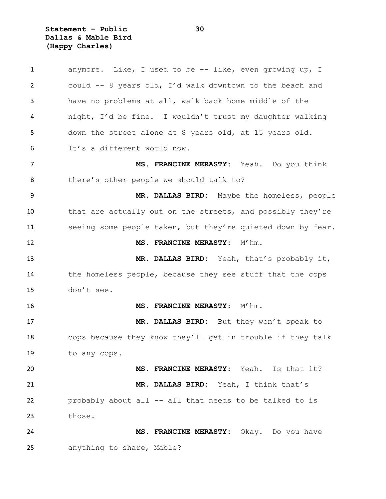**Statement – Public 30 Dallas & Mable Bird (Happy Charles)**

 anymore. Like, I used to be -- like, even growing up, I could -- 8 years old, I'd walk downtown to the beach and have no problems at all, walk back home middle of the night, I'd be fine. I wouldn't trust my daughter walking down the street alone at 8 years old, at 15 years old. It's a different world now. **MS. FRANCINE MERASTY:** Yeah. Do you think there's other people we should talk to? **MR. DALLAS BIRD:** Maybe the homeless, people that are actually out on the streets, and possibly they're 11 seeing some people taken, but they're quieted down by fear. **MS. FRANCINE MERASTY:**  $M'$ hm. **MR. DALLAS BIRD:** Yeah, that's probably it, the homeless people, because they see stuff that the cops don't see. **MS. FRANCINE MERASTY:** M'hm. **MR. DALLAS BIRD:** But they won't speak to cops because they know they'll get in trouble if they talk to any cops. **MS. FRANCINE MERASTY:** Yeah. Is that it? **MR. DALLAS BIRD:** Yeah, I think that's probably about all -- all that needs to be talked to is those. **MS. FRANCINE MERASTY:** Okay. Do you have anything to share, Mable?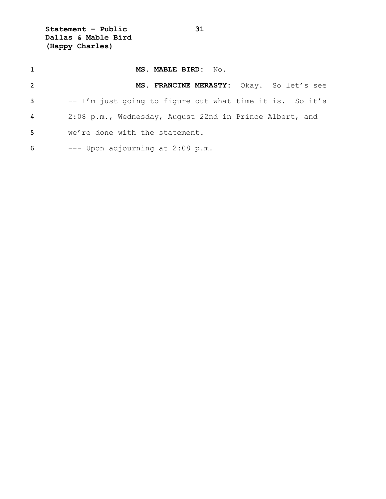**Statement – Public 31 Dallas & Mable Bird (Happy Charles)**

| $\mathbf{1}$   | MS. MABLE BIRD: No.                                      |
|----------------|----------------------------------------------------------|
| $\overline{2}$ | MS. FRANCINE MERASTY: Okay. So let's see                 |
| 3              | -- I'm just going to figure out what time it is. So it's |
| 4              | 2:08 p.m., Wednesday, August 22nd in Prince Albert, and  |
| 5              | we're done with the statement.                           |
| 6              | --- Upon adjourning at 2:08 p.m.                         |